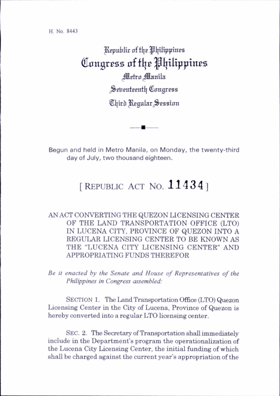H. No. 8443

^Rspulilir of tljB pljiltppinea Congress of the Philippines Metro Manila Seirenteenth Congress Third Regular Session

Begun and held in Metro Manila, on Monday, the twenty-third day of July, two thousand eighteen.

## [REPUBLIC ACT NO.  $11434$ ]

AN ACT CONVERTING THE QUEZON LICENSING CENTER OF THE LAND TRANSPORTATION OFFICE (LTO) IN LUCENA CITY, PROVINCE OF QUEZON INTO A REGULAR LICENSING CENTER TO BE KNOWN AS THE "LUCENA CITY LICENSING CENTER" AND APPROPRIATING FUNDS THEREFOR

Be it enacted by the Senate and House of Representatives of the Philippines in Congress assembled:

SECTION 1. The Land Transportation Office (LTO) Quezon Licensing Center in the City of Lucena, Province of Quezon is hereby converted into a regular LTO licensing center.

Sec. 2. The Secretary of Transportation shall immediately include in the Department's program the operationalization of the Lucena City Licensing Center, the initial funding of which shall be charged against the current year's appropriation of the